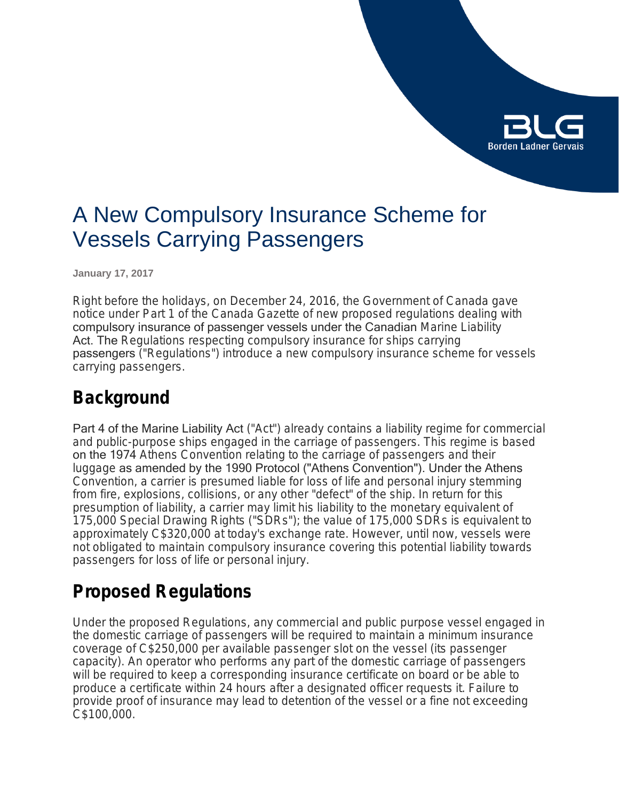

# A New Compulsory Insurance Scheme for Vessels Carrying Passengers

**January 17, 2017**

Right before the holidays, on December 24, 2016, the Government of Canada gave notice under Part 1 of the Canada Gazette of new proposed regulations dealing with compulsory insurance of passenger vessels under the Canadian *Marine Liability*  Act. The *Regulations respecting compulsory insurance for ships carrying*  passengers ("Regulations") introduce a new compulsory insurance scheme for vessels carrying passengers.

### **Background**

Part 4 of the Marine Liability Act ("Act") already contains a liability regime for commercial and public-purpose ships engaged in the carriage of passengers. This regime is based on the 1974 *Athens Convention relating to the carriage of passengers and their luggage* as amended by the 1990 Protocol ("Athens Convention"). Under the Athens Convention, a carrier is presumed liable for loss of life and personal injury stemming from fire, explosions, collisions, or any other "defect" of the ship. In return for this presumption of liability, a carrier may limit his liability to the monetary equivalent of 175,000 Special Drawing Rights ("SDRs"); the value of 175,000 SDRs is equivalent to approximately C\$320,000 at today's exchange rate. However, until now, vessels were not obligated to maintain compulsory insurance covering this potential liability towards passengers for loss of life or personal injury.

### **Proposed Regulations**

Under the proposed Regulations, any commercial and public purpose vessel engaged in the domestic carriage of passengers will be required to maintain a minimum insurance coverage of C\$250,000 per available passenger slot on the vessel (its passenger capacity). An operator who performs any part of the domestic carriage of passengers will be required to keep a corresponding insurance certificate on board or be able to produce a certificate within 24 hours after a designated officer requests it. Failure to provide proof of insurance may lead to detention of the vessel or a fine not exceeding C\$100,000.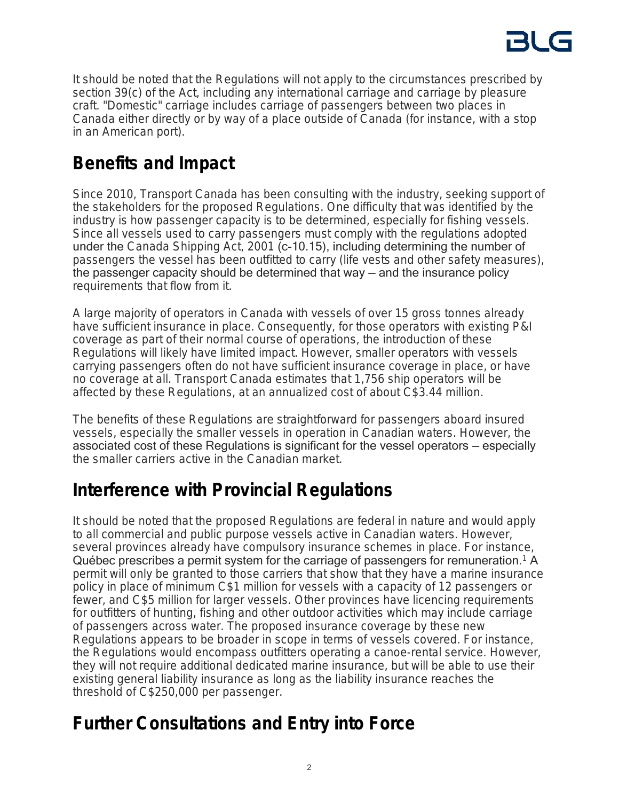

It should be noted that the Regulations will not apply to the circumstances prescribed by section 39(c) of the Act, including any international carriage and carriage by pleasure craft. "Domestic" carriage includes carriage of passengers between two places in Canada either directly or by way of a place outside of Canada (for instance, with a stop in an American port).

## **Benefits and Impact**

Since 2010, Transport Canada has been consulting with the industry, seeking support of the stakeholders for the proposed Regulations. One difficulty that was identified by the industry is how passenger capacity is to be determined, especially for fishing vessels. Since all vessels used to carry passengers must comply with the regulations adopted under the *Canada Shipping Act, 2001* (c-10.15), including determining the number of passengers the vessel has been outfitted to carry (life vests and other safety measures), the passenger capacity should be determined that way — and the insurance policy requirements that flow from it.

A large majority of operators in Canada with vessels of over 15 gross tonnes already have sufficient insurance in place. Consequently, for those operators with existing P&I coverage as part of their normal course of operations, the introduction of these Regulations will likely have limited impact. However, smaller operators with vessels carrying passengers often do not have sufficient insurance coverage in place, or have no coverage at all. Transport Canada estimates that 1,756 ship operators will be affected by these Regulations, at an annualized cost of about C\$3.44 million.

The benefits of these Regulations are straightforward for passengers aboard insured vessels, especially the smaller vessels in operation in Canadian waters. However, the associated cost of these Regulations is significant for the vessel operators — especially the smaller carriers active in the Canadian market.

### **Interference with Provincial Regulations**

It should be noted that the proposed Regulations are federal in nature and would apply to all commercial and public purpose vessels active in Canadian waters. However, several provinces already have compulsory insurance schemes in place. For instance, Québec prescribes a permit system for the carriage of passengers for remuneration.<sup>1</sup> A permit will only be granted to those carriers that show that they have a marine insurance policy in place of minimum C\$1 million for vessels with a capacity of 12 passengers or fewer, and C\$5 million for larger vessels. Other provinces have licencing requirements for outfitters of hunting, fishing and other outdoor activities which may include carriage of passengers across water. The proposed insurance coverage by these new Regulations appears to be broader in scope in terms of vessels covered. For instance, the Regulations would encompass outfitters operating a canoe-rental service. However, they will not require additional dedicated marine insurance, but will be able to use their existing general liability insurance as long as the liability insurance reaches the threshold of C\$250,000 per passenger.

### **Further Consultations and Entry into Force**